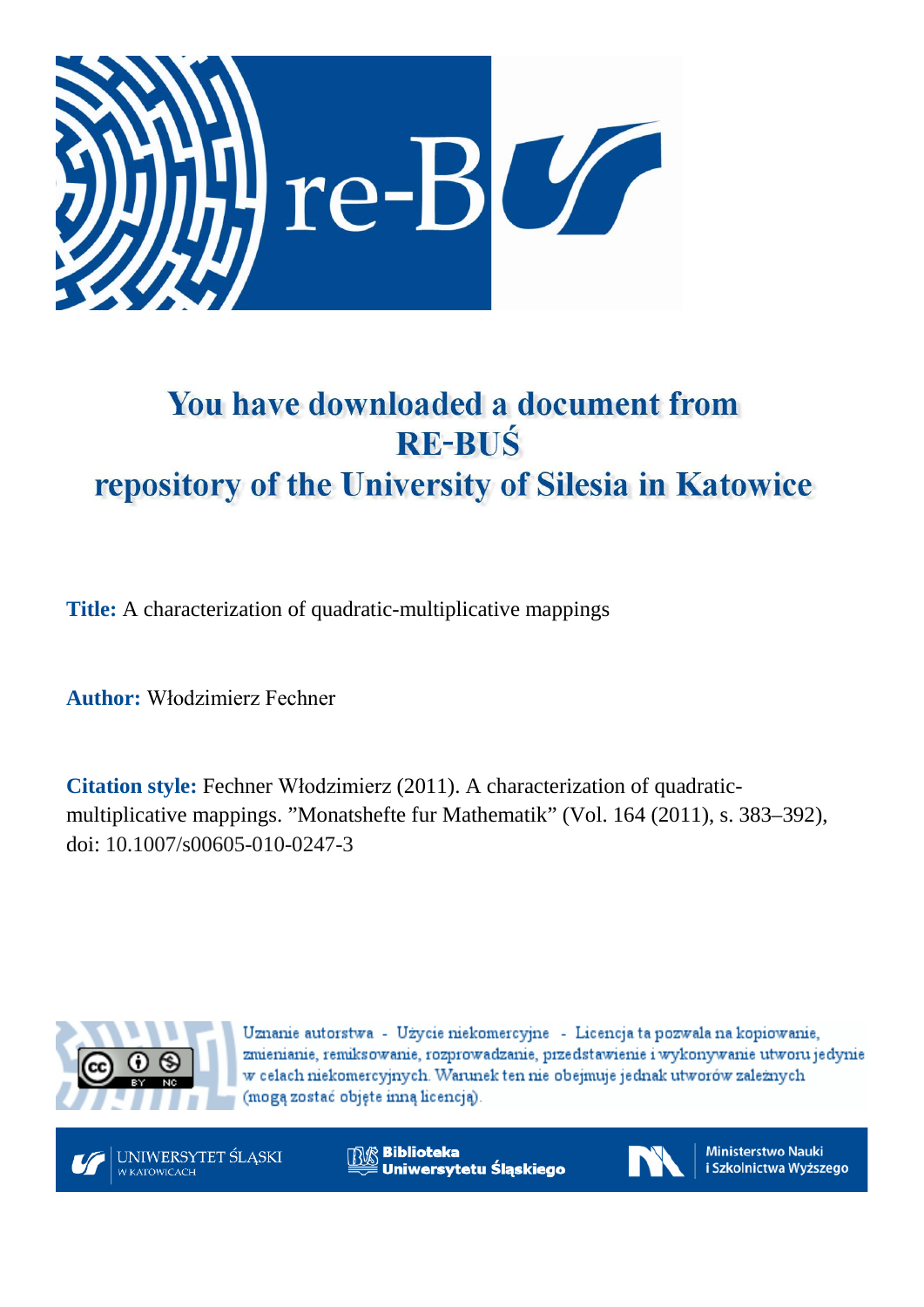

# You have downloaded a document from **RE-BUŚ** repository of the University of Silesia in Katowice

**Title:** A characterization of quadratic-multiplicative mappings

**Author:** Włodzimierz Fechner

**Citation style:** Fechner Włodzimierz (2011). A characterization of quadraticmultiplicative mappings. "Monatshefte fur Mathematik" (Vol. 164 (2011), s. 383–392), doi: 10.1007/s00605-010-0247-3



Uznanie autorstwa - Użycie niekomercyjne - Licencja ta pozwala na kopiowanie, zmienianie, remiksowanie, rozprowadzanie, przedstawienie i wykonywanie utworu jedynie w celach niekomercyjnych. Warunek ten nie obejmuje jednak utworów zależnych (mogą zostać objęte inną licencją).



**Biblioteka** Uniwersytetu Śląskiego



**Ministerstwo Nauki** i Szkolnictwa Wyższego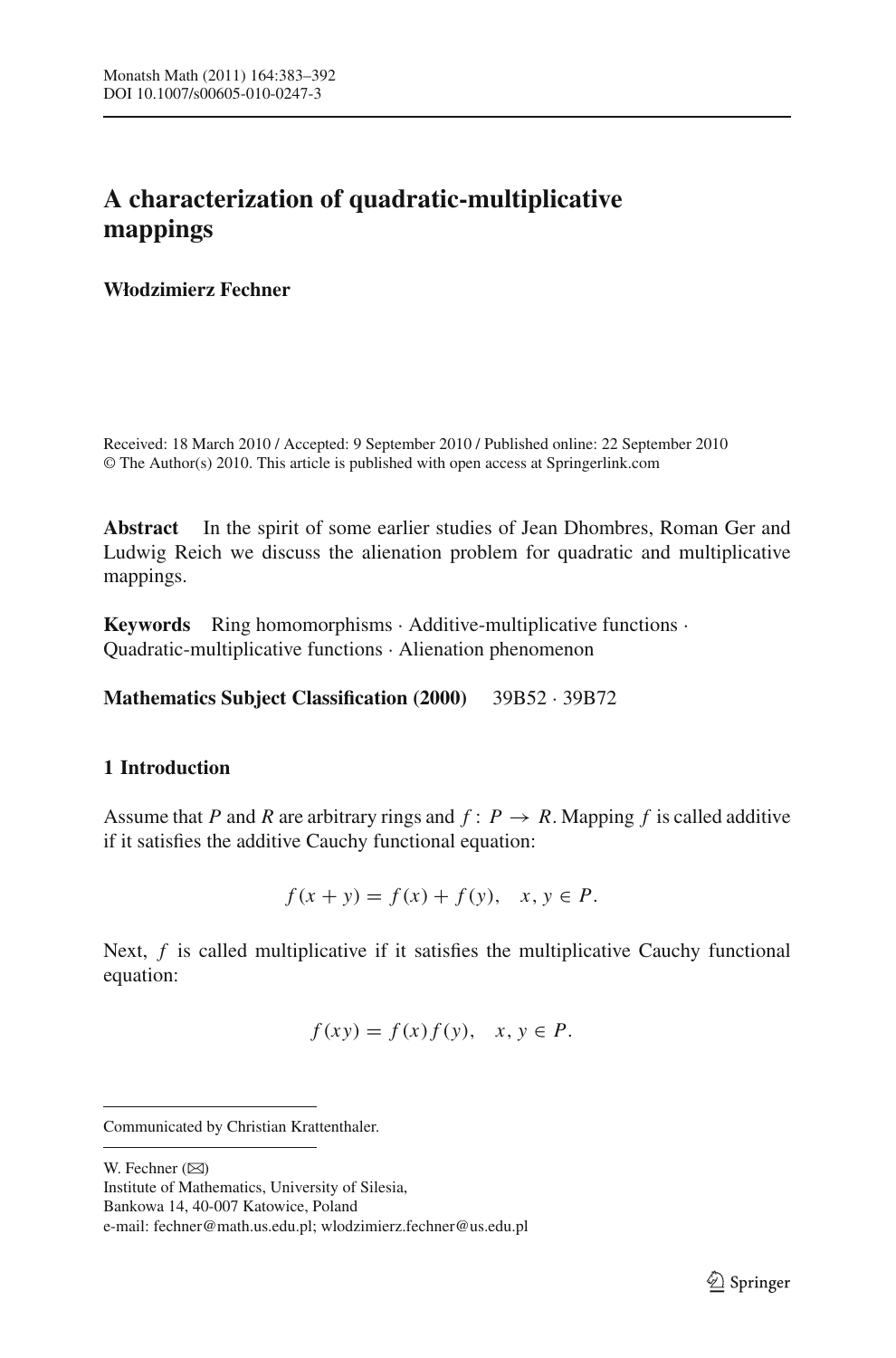# **A characterization of quadratic-multiplicative mappings**

### **Włodzimierz Fechner**

Received: 18 March 2010 / Accepted: 9 September 2010 / Published online: 22 September 2010 © The Author(s) 2010. This article is published with open access at Springerlink.com

**Abstract** In the spirit of some earlier studies of Jean Dhombres, Roman Ger and Ludwig Reich we discuss the alienation problem for quadratic and multiplicative mappings.

**Keywords** Ring homomorphisms · Additive-multiplicative functions · Quadratic-multiplicative functions · Alienation phenomenon

**Mathematics Subject Classification (2000)** 39B52 · 39B72

## <span id="page-1-0"></span>**1 Introduction**

Assume that *P* and *R* are arbitrary rings and  $f: P \to R$ . Mapping *f* is called additive if it satisfies the additive Cauchy functional equation:

$$
f(x + y) = f(x) + f(y), \quad x, y \in P.
$$

Next, *f* is called multiplicative if it satisfies the multiplicative Cauchy functional equation:

$$
f(xy) = f(x)f(y), \quad x, y \in P.
$$

W. Fechner  $(\boxtimes)$ 

Bankowa 14, 40-007 Katowice, Poland

Communicated by Christian Krattenthaler.

Institute of Mathematics, University of Silesia,

e-mail: fechner@math.us.edu.pl; wlodzimierz.fechner@us.edu.pl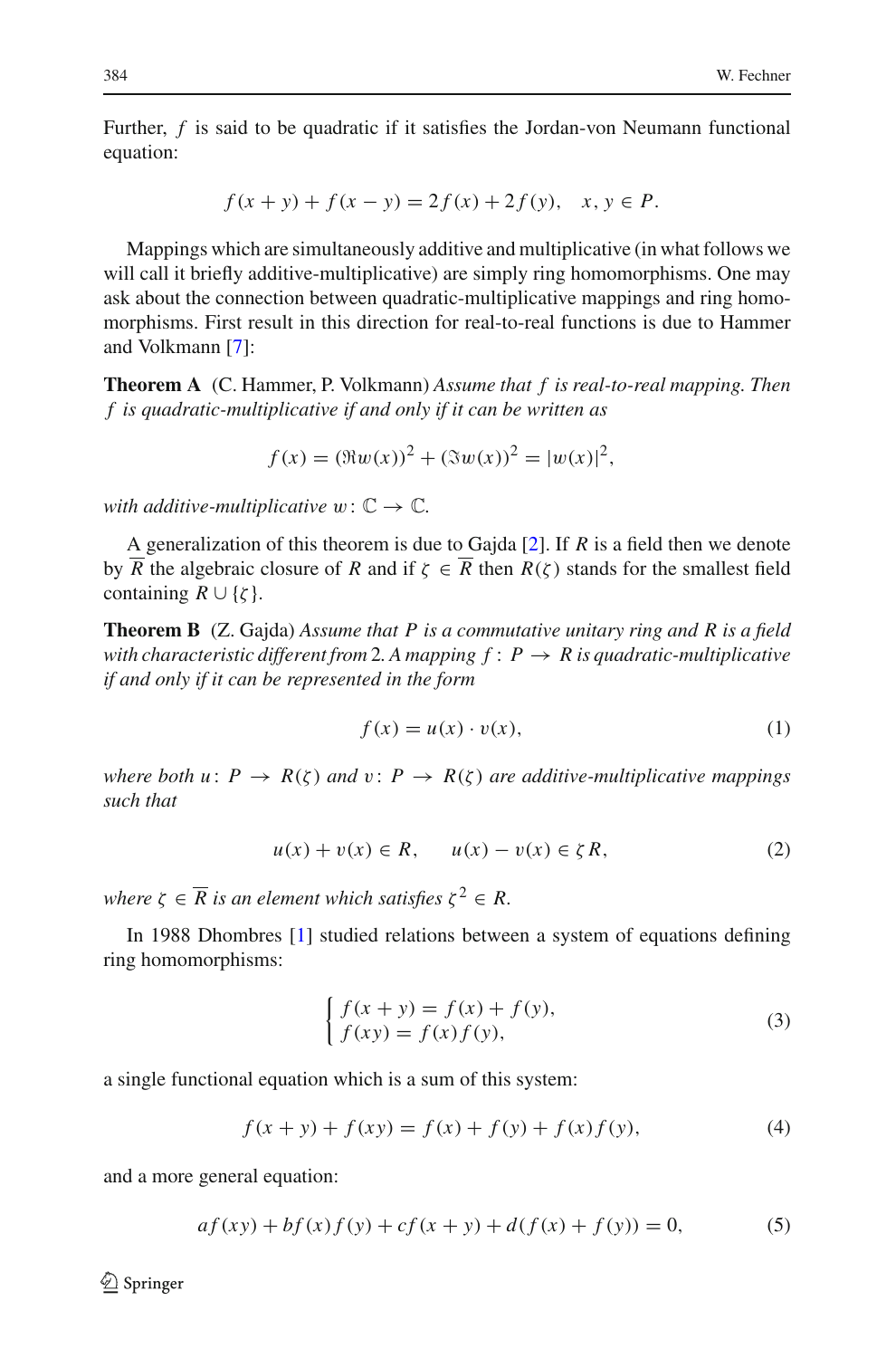Further, *f* is said to be quadratic if it satisfies the Jordan-von Neumann functional equation:

$$
f(x + y) + f(x - y) = 2f(x) + 2f(y), \quad x, y \in P.
$$

Mappings which are simultaneously additive and multiplicative (in what follows we will call it briefly additive-multiplicative) are simply ring homomorphisms. One may ask about the connection between quadratic-multiplicative mappings and ring homomorphisms. First result in this direction for real-to-real functions is due to Hammer and Volkmann [\[7](#page-10-0)]:

**Theorem A** (C. Hammer, P. Volkmann) *Assume that f is real-to-real mapping. Then f is quadratic-multiplicative if and only if it can be written as*

$$
f(x) = (\Re w(x))^{2} + (\Im w(x))^{2} = |w(x)|^{2},
$$

*with additive-multiplicative*  $w: \mathbb{C} \to \mathbb{C}$ *.* 

A generalization of this theorem is due to Gajda [\[2](#page-10-1)]. If *R* is a field then we denote by  $\overline{R}$  the algebraic closure of *R* and if  $\zeta \in \overline{R}$  then  $R(\zeta)$  stands for the smallest field containing  $R \cup \{\zeta\}.$ 

**Theorem B** (Z. Gajda) *Assume that P is a commutative unitary ring and R is a field with characteristic different from* 2*. A mapping*  $f: P \rightarrow R$  *is quadratic-multiplicative if and only if it can be represented in the form*

$$
f(x) = u(x) \cdot v(x),\tag{1}
$$

<span id="page-2-2"></span>*where both u*:  $P \rightarrow R(\zeta)$  *and*  $v: P \rightarrow R(\zeta)$  *are additive-multiplicative mappings such that*

$$
u(x) + v(x) \in R, \qquad u(x) - v(x) \in \zeta R,\tag{2}
$$

<span id="page-2-3"></span>*where*  $\zeta \in \overline{R}$  *is an element which satisfies*  $\zeta^2 \in R$ *.* 

In 1988 Dhombres [\[1](#page-10-2)] studied relations between a system of equations defining ring homomorphisms:

$$
\begin{cases}\nf(x+y) = f(x) + f(y), \\
f(xy) = f(x)f(y),\n\end{cases}
$$
\n(3)

<span id="page-2-0"></span>a single functional equation which is a sum of this system:

$$
f(x + y) + f(xy) = f(x) + f(y) + f(x)f(y),
$$
\n(4)

<span id="page-2-1"></span>and a more general equation:

$$
af(xy) + bf(x)f(y) + cf(x + y) + d(f(x) + f(y)) = 0,
$$
\n(5)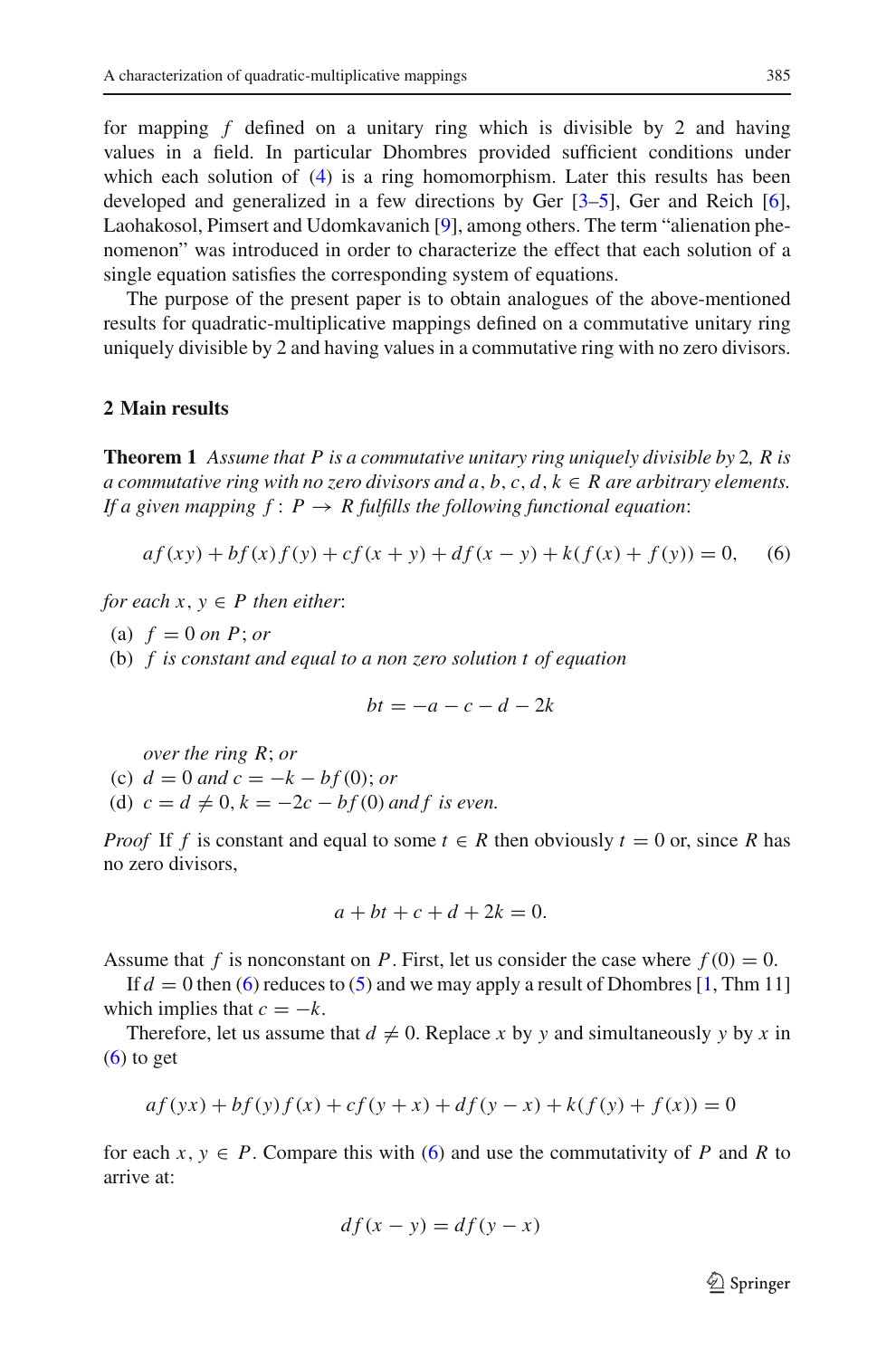for mapping *f* defined on a unitary ring which is divisible by 2 and having values in a field. In particular Dhombres provided sufficient conditions under which each solution of [\(4\)](#page-2-0) is a ring homomorphism. Later this results has been developed and generalized in a few directions by Ger [\[3](#page-10-3)[–5\]](#page-10-4), Ger and Reich [\[6](#page-10-5)], Laohakosol, Pimsert and Udomkavanich [\[9](#page-10-6)], among others. The term "alienation phenomenon" was introduced in order to characterize the effect that each solution of a single equation satisfies the corresponding system of equations.

The purpose of the present paper is to obtain analogues of the above-mentioned results for quadratic-multiplicative mappings defined on a commutative unitary ring uniquely divisible by 2 and having values in a commutative ring with no zero divisors.

#### <span id="page-3-1"></span>**2 Main results**

**Theorem 1** *Assume that P is a commutative unitary ring uniquely divisible by* 2*, R is a commutative ring with no zero divisors and a, b, c, d,*  $k \in R$  *are arbitrary elements. If a given mapping*  $f: P \to R$  *fulfills the following functional equation*:

$$
af(xy) + bf(x)f(y) + cf(x+y) + df(x-y) + k(f(x) + f(y)) = 0,
$$
 (6)

<span id="page-3-0"></span>*for each*  $x, y \in P$  *then either:* 

- (a)  $f = 0$  *on P*; *or*
- (b) *f is constant and equal to a non zero solution t of equation*

$$
bt = -a - c - d - 2k
$$

*over the ring R*; *or*

(c)  $d = 0$  *and*  $c = -k - bf(0)$ ; *or* 

(d)  $c = d \neq 0, k = -2c - bf(0)$  and f is even.

*Proof* If *f* is constant and equal to some  $t \in R$  then obviously  $t = 0$  or, since R has no zero divisors,

$$
a + bt + c + d + 2k = 0.
$$

Assume that f is nonconstant on P. First, let us consider the case where  $f(0) = 0$ .

If  $d = 0$  then [\(6\)](#page-3-0) reduces to [\(5\)](#page-2-1) and we may apply a result of Dhombres [\[1,](#page-10-2) Thm 11] which implies that  $c = -k$ .

Therefore, let us assume that  $d \neq 0$ . Replace x by y and simultaneously y by x in  $(6)$  to get

$$
af(yx) + bf(y)f(x) + cf(y+x) + df(y-x) + k(f(y) + f(x)) = 0
$$

for each  $x, y \in P$ . Compare this with [\(6\)](#page-3-0) and use the commutativity of P and R to arrive at:

$$
df(x - y) = df(y - x)
$$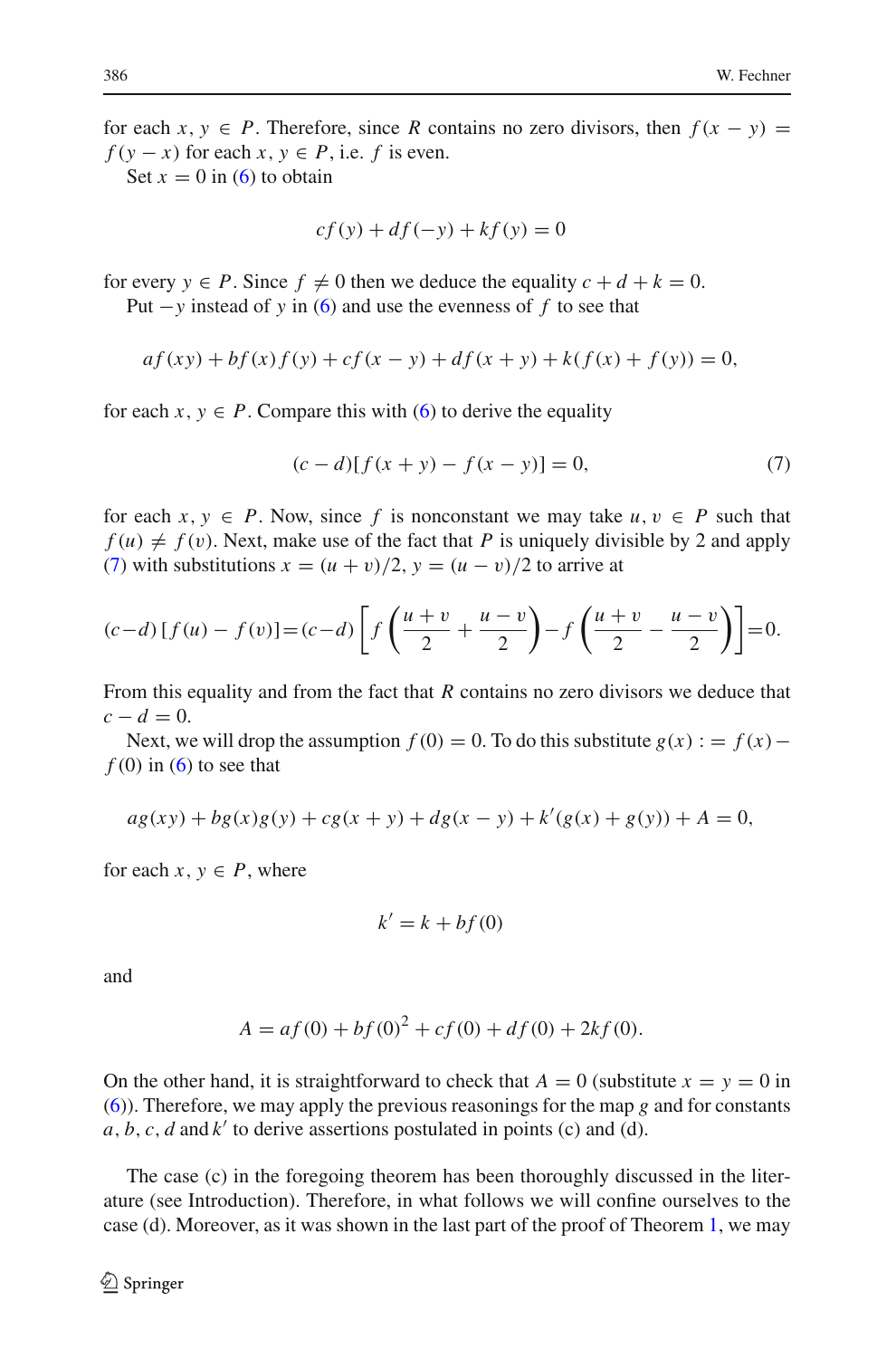for each  $x, y \in P$ . Therefore, since *R* contains no zero divisors, then  $f(x - y) =$  $f(y - x)$  for each *x*,  $y \in P$ , i.e. *f* is even.

Set  $x = 0$  in [\(6\)](#page-3-0) to obtain

$$
cf(y) + df(-y) + kf(y) = 0
$$

for every  $y \in P$ . Since  $f \neq 0$  then we deduce the equality  $c + d + k = 0$ . Put −*y* instead of *y* in [\(6\)](#page-3-0) and use the evenness of *f* to see that

$$
af(xy) + bf(x)f(y) + cf(x - y) + df(x + y) + k(f(x) + f(y)) = 0,
$$

<span id="page-4-0"></span>for each  $x, y \in P$ . Compare this with [\(6\)](#page-3-0) to derive the equality

$$
(c-d)[f(x+y) - f(x-y)] = 0,
$$
\n(7)

for each  $x, y \in P$ . Now, since f is nonconstant we may take  $u, v \in P$  such that  $f(u) \neq f(v)$ . Next, make use of the fact that *P* is uniquely divisible by 2 and apply [\(7\)](#page-4-0) with substitutions  $x = (u + v)/2$ ,  $y = (u - v)/2$  to arrive at

$$
(c-d)[f(u) - f(v)] = (c-d)\left[f\left(\frac{u+v}{2} + \frac{u-v}{2}\right) - f\left(\frac{u+v}{2} - \frac{u-v}{2}\right)\right] = 0.
$$

From this equality and from the fact that *R* contains no zero divisors we deduce that  $c - d = 0$ .

Next, we will drop the assumption  $f(0) = 0$ . To do this substitute  $g(x) := f(x)$  $f(0)$  in  $(6)$  to see that

$$
ag(xy) + bg(x)g(y) + cg(x + y) + dg(x - y) + k'(g(x) + g(y)) + A = 0,
$$

for each  $x, y \in P$ , where

$$
k'=k+bf(0)
$$

and

$$
A = af(0) + bf(0)2 + cf(0) + df(0) + 2kf(0).
$$

On the other hand, it is straightforward to check that  $A = 0$  (substitute  $x = y = 0$  in [\(6\)](#page-3-0)). Therefore, we may apply the previous reasonings for the map *g* and for constants  $a, b, c, d$  and  $k'$  to derive assertions postulated in points (c) and (d).

The case (c) in the foregoing theorem has been thoroughly discussed in the literature (see Introduction). Therefore, in what follows we will confine ourselves to the case (d). Moreover, as it was shown in the last part of the proof of Theorem [1,](#page-3-1) we may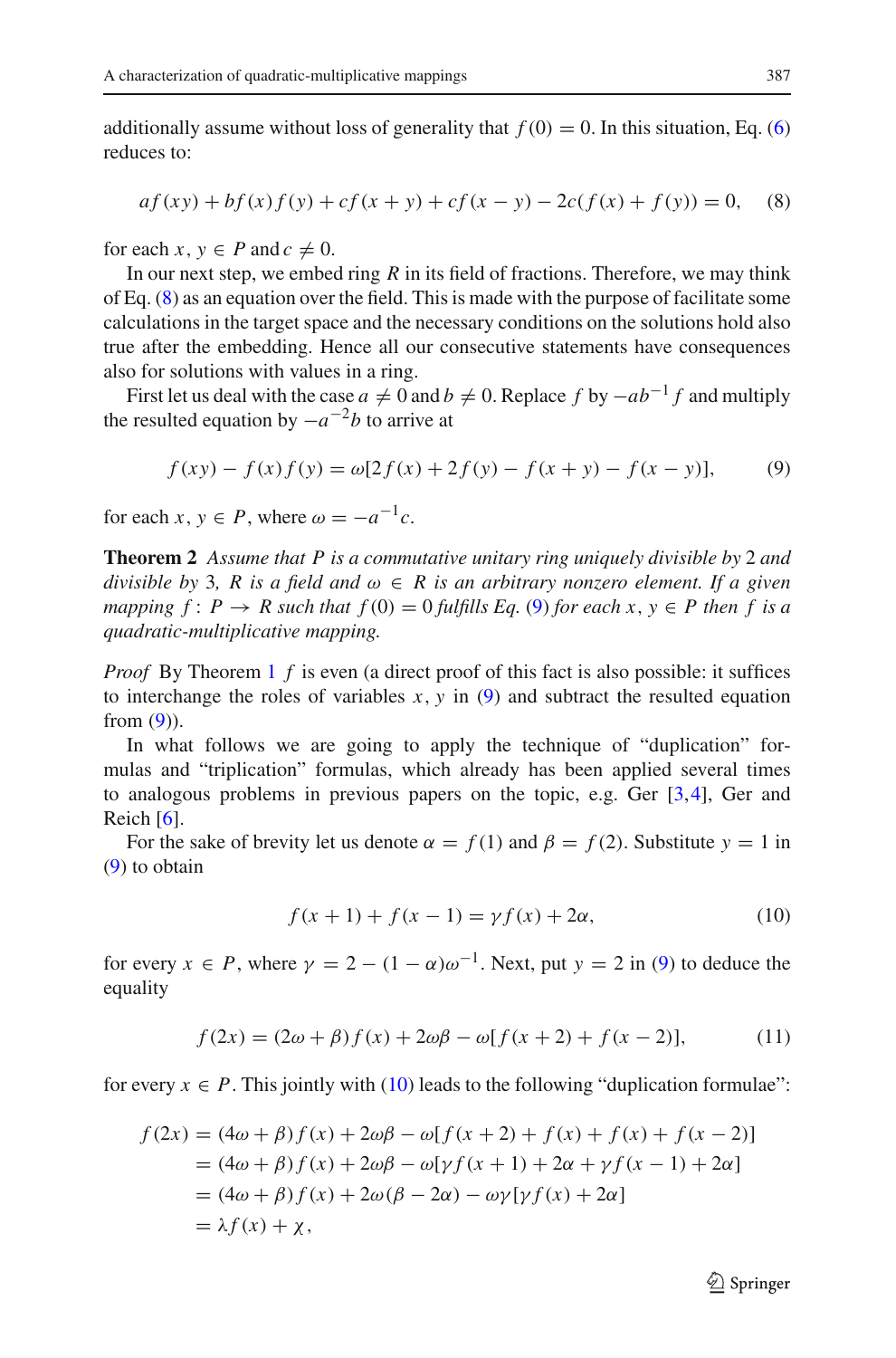additionally assume without loss of generality that  $f(0) = 0$ . In this situation, Eq. [\(6\)](#page-3-0) reduces to:

$$
af(xy) + bf(x)f(y) + cf(x + y) + cf(x - y) - 2c(f(x) + f(y)) = 0,
$$
 (8)

<span id="page-5-0"></span>for each  $x, y \in P$  and  $c \neq 0$ .

In our next step, we embed ring *R* in its field of fractions. Therefore, we may think of Eq. [\(8\)](#page-5-0) as an equation over the field. This is made with the purpose of facilitate some calculations in the target space and the necessary conditions on the solutions hold also true after the embedding. Hence all our consecutive statements have consequences also for solutions with values in a ring.

First let us deal with the case  $a \neq 0$  and  $b \neq 0$ . Replace  $f$  by  $-ab^{-1}f$  and multiply the resulted equation by  $-a^{-2}b$  to arrive at

$$
f(xy) - f(x)f(y) = \omega[2f(x) + 2f(y) - f(x + y) - f(x - y)],
$$
\n(9)

<span id="page-5-3"></span><span id="page-5-1"></span>for each  $x, y \in P$ , where  $\omega = -a^{-1}c$ .

**Theorem 2** *Assume that P is a commutative unitary ring uniquely divisible by* 2 *and divisible by* 3*, R is a field and*  $\omega \in R$  *is an arbitrary nonzero element. If a given mapping*  $f: P \to R$  *such that*  $f(0) = 0$  *fulfills Eq.* [\(9\)](#page-5-1) *for each x, y*  $\in P$  *then* f *is a quadratic-multiplicative mapping.*

*Proof* By Theorem [1](#page-3-1) *f* is even (a direct proof of this fact is also possible: it suffices to interchange the roles of variables  $x$ ,  $y$  in [\(9\)](#page-5-1) and subtract the resulted equation from  $(9)$ ).

In what follows we are going to apply the technique of "duplication" formulas and "triplication" formulas, which already has been applied several times to analogous problems in previous papers on the topic, e.g. Ger [\[3,](#page-10-3)[4\]](#page-10-7), Ger and Reich [\[6\]](#page-10-5).

For the sake of brevity let us denote  $\alpha = f(1)$  and  $\beta = f(2)$ . Substitute  $y = 1$  in [\(9\)](#page-5-1) to obtain

$$
f(x + 1) + f(x - 1) = \gamma f(x) + 2\alpha,
$$
 (10)

<span id="page-5-2"></span>for every  $x \in P$ , where  $\gamma = 2 - (1 - \alpha)\omega^{-1}$ . Next, put  $y = 2$  in [\(9\)](#page-5-1) to deduce the equality

$$
f(2x) = (2\omega + \beta)f(x) + 2\omega\beta - \omega[f(x+2) + f(x-2)],
$$
 (11)

for every  $x \in P$ . This jointly with [\(10\)](#page-5-2) leads to the following "duplication formulae":

$$
f(2x) = (4\omega + \beta) f(x) + 2\omega\beta - \omega[f(x+2) + f(x) + f(x) + f(x-2)]
$$
  
=  $(4\omega + \beta) f(x) + 2\omega\beta - \omega[\gamma f(x+1) + 2\alpha + \gamma f(x-1) + 2\alpha]$   
=  $(4\omega + \beta) f(x) + 2\omega(\beta - 2\alpha) - \omega\gamma[\gamma f(x) + 2\alpha]$   
=  $\lambda f(x) + \chi$ ,

 $\mathcal{D}$  Springer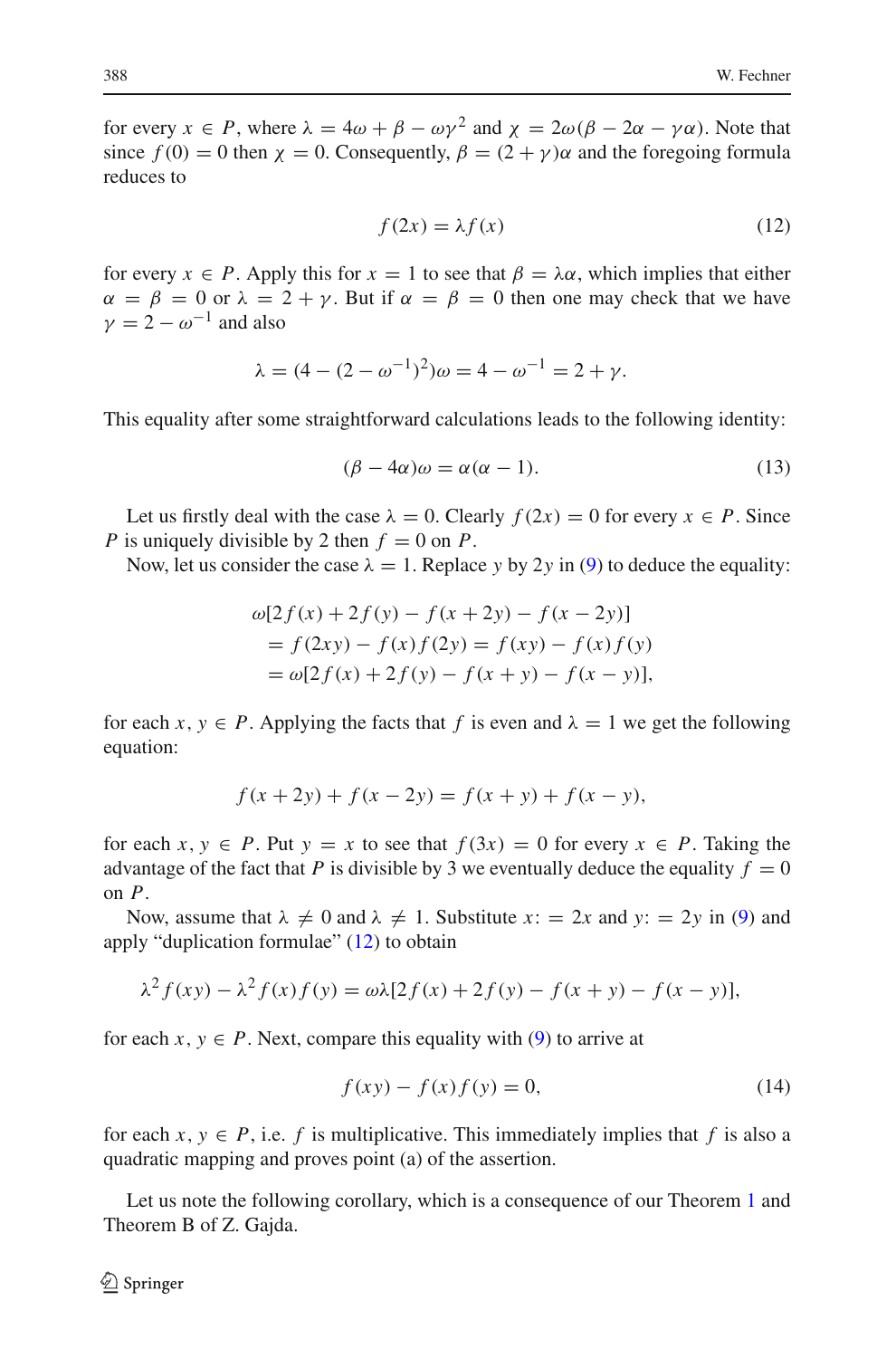for every  $x \in P$ , where  $\lambda = 4\omega + \beta - \omega y^2$  and  $\chi = 2\omega(\beta - 2\alpha - y\alpha)$ . Note that since  $f(0) = 0$  then  $\chi = 0$ . Consequently,  $\beta = (2 + \gamma)\alpha$  and the foregoing formula reduces to

$$
f(2x) = \lambda f(x) \tag{12}
$$

<span id="page-6-0"></span>for every  $x \in P$ . Apply this for  $x = 1$  to see that  $\beta = \lambda \alpha$ , which implies that either  $\alpha = \beta = 0$  or  $\lambda = 2 + \gamma$ . But if  $\alpha = \beta = 0$  then one may check that we have  $\nu = 2 - \omega^{-1}$  and also

$$
\lambda = (4 - (2 - \omega^{-1})^2)\omega = 4 - \omega^{-1} = 2 + \gamma.
$$

This equality after some straightforward calculations leads to the following identity:

$$
(\beta - 4\alpha)\omega = \alpha(\alpha - 1). \tag{13}
$$

Let us firstly deal with the case  $\lambda = 0$ . Clearly  $f(2x) = 0$  for every  $x \in P$ . Since *P* is uniquely divisible by 2 then  $f = 0$  on *P*.

Now, let us consider the case  $\lambda = 1$ . Replace *y* by 2*y* in [\(9\)](#page-5-1) to deduce the equality:

$$
\omega[2f(x) + 2f(y) - f(x + 2y) - f(x - 2y)]
$$
  
= f(2xy) - f(x)f(2y) = f(xy) - f(x)f(y)  
= \omega[2f(x) + 2f(y) - f(x + y) - f(x - y)],

for each  $x, y \in P$ . Applying the facts that f is even and  $\lambda = 1$  we get the following equation:

$$
f(x + 2y) + f(x - 2y) = f(x + y) + f(x - y),
$$

for each  $x, y \in P$ . Put  $y = x$  to see that  $f(3x) = 0$  for every  $x \in P$ . Taking the advantage of the fact that *P* is divisible by 3 we eventually deduce the equality  $f = 0$ on *P*.

Now, assume that  $\lambda \neq 0$  and  $\lambda \neq 1$ . Substitute  $x_i = 2x$  and  $y_i = 2y$  in [\(9\)](#page-5-1) and apply "duplication formulae" [\(12\)](#page-6-0) to obtain

$$
\lambda^{2} f(xy) - \lambda^{2} f(x) f(y) = \omega \lambda [2f(x) + 2f(y) - f(x + y) - f(x - y)],
$$

for each  $x, y \in P$ . Next, compare this equality with [\(9\)](#page-5-1) to arrive at

$$
f(xy) - f(x)f(y) = 0,
$$
\n(14)

for each  $x, y \in P$ , i.e. *f* is multiplicative. This immediately implies that *f* is also a quadratic mapping and proves point (a) of the assertion.

Let us note the following corollary, which is a consequence of our Theorem [1](#page-3-1) and Theorem B of Z. Gajda.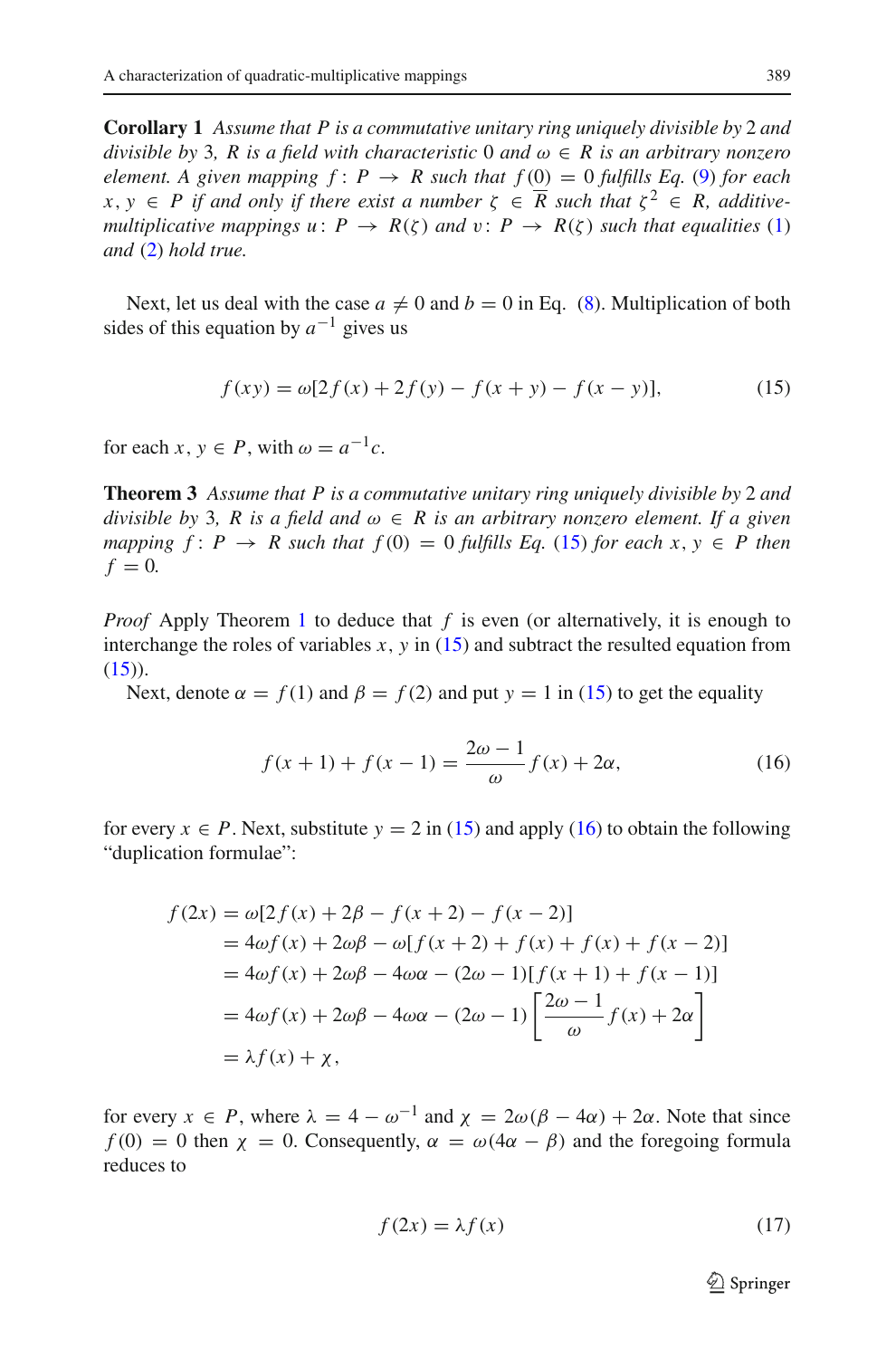**Corollary 1** *Assume that P is a commutative unitary ring uniquely divisible by* 2 *and divisible by* 3*, R is a field with characteristic* 0 *and*  $\omega \in R$  *is an arbitrary nonzero element.* A given mapping  $f: P \rightarrow R$  such that  $f(0) = 0$  fulfills Eq. [\(9\)](#page-5-1) for each  $x, y \in P$  if and only if there exist a number  $\zeta \in \overline{R}$  such that  $\zeta^2 \in R$ , additive*multiplicative mappings u*:  $P \rightarrow R(\zeta)$  *and*  $v: P \rightarrow R(\zeta)$  *such that equalities* [\(1\)](#page-2-2) *and* [\(2\)](#page-2-3) *hold true.*

Next, let us deal with the case  $a \neq 0$  and  $b = 0$  in Eq. [\(8\)](#page-5-0). Multiplication of both sides of this equation by  $a^{-1}$  gives us

<span id="page-7-3"></span>
$$
f(xy) = \omega[2f(x) + 2f(y) - f(x + y) - f(x - y)],
$$
\n(15)

<span id="page-7-0"></span>for each  $x, y \in P$ , with  $\omega = a^{-1}c$ .

**Theorem 3** *Assume that P is a commutative unitary ring uniquely divisible by* 2 *and divisible by* 3*, R is a field and*  $\omega \in R$  *is an arbitrary nonzero element. If a given mapping*  $f: P \to R$  *such that*  $f(0) = 0$  *fulfills Eq.* [\(15\)](#page-7-0) *for each x, y*  $\in P$  *then*  $f = 0$ .

*Proof* Apply Theorem [1](#page-3-1) to deduce that *f* is even (or alternatively, it is enough to interchange the roles of variables *x*, *y* in [\(15\)](#page-7-0) and subtract the resulted equation from  $(15)$ ).

Next, denote  $\alpha = f(1)$  and  $\beta = f(2)$  and put  $y = 1$  in [\(15\)](#page-7-0) to get the equality

$$
f(x+1) + f(x-1) = \frac{2\omega - 1}{\omega} f(x) + 2\alpha,
$$
 (16)

<span id="page-7-1"></span>for every  $x \in P$ . Next, substitute  $y = 2$  in [\(15\)](#page-7-0) and apply [\(16\)](#page-7-1) to obtain the following "duplication formulae":

$$
f(2x) = \omega[2f(x) + 2\beta - f(x + 2) - f(x - 2)]
$$
  
=  $4\omega f(x) + 2\omega\beta - \omega[f(x + 2) + f(x) + f(x + 2)]$   
=  $4\omega f(x) + 2\omega\beta - 4\omega\alpha - (2\omega - 1)[f(x + 1) + f(x - 1)]$   
=  $4\omega f(x) + 2\omega\beta - 4\omega\alpha - (2\omega - 1)[\frac{2\omega - 1}{\omega}f(x) + 2\alpha]$   
=  $\lambda f(x) + \chi$ ,

for every  $x \in P$ , where  $\lambda = 4 - \omega^{-1}$  and  $\chi = 2\omega(\beta - 4\alpha) + 2\alpha$ . Note that since  $f(0) = 0$  then  $\chi = 0$ . Consequently,  $\alpha = \omega(4\alpha - \beta)$  and the foregoing formula reduces to

<span id="page-7-2"></span>
$$
f(2x) = \lambda f(x) \tag{17}
$$

 $\mathcal{D}$  Springer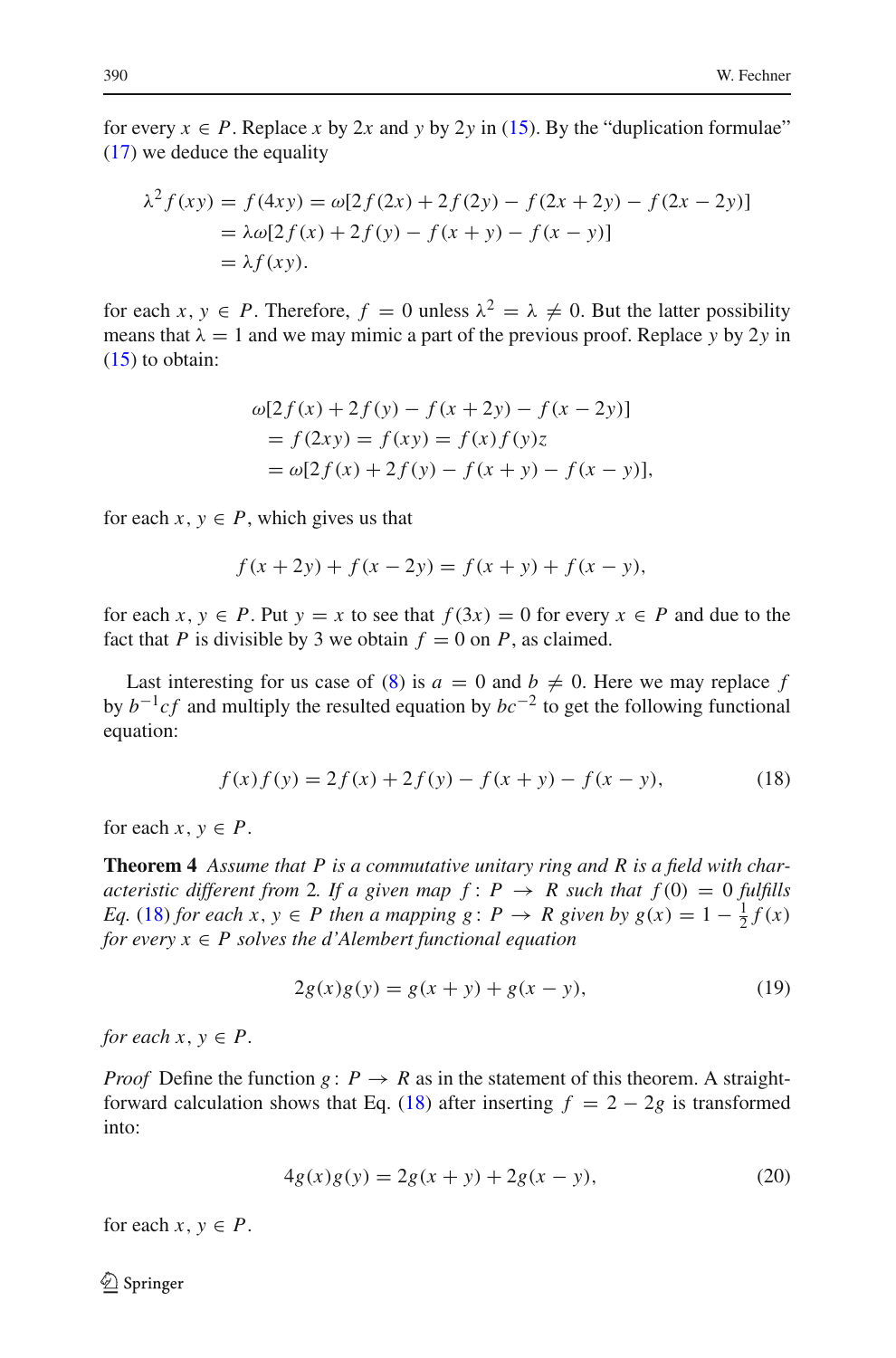for every  $x \in P$ . Replace *x* by 2*x* and *y* by 2*y* in [\(15\)](#page-7-0). By the "duplication formulae" [\(17\)](#page-7-2) we deduce the equality

$$
\lambda^{2} f(xy) = f(4xy) = \omega[2f(2x) + 2f(2y) - f(2x + 2y) - f(2x - 2y)]
$$
  
=  $\lambda \omega[2f(x) + 2f(y) - f(x + y) - f(x - y)]$   
=  $\lambda f(xy)$ .

for each *x*,  $y \in P$ . Therefore,  $f = 0$  unless  $\lambda^2 = \lambda \neq 0$ . But the latter possibility means that  $\lambda = 1$  and we may mimic a part of the previous proof. Replace *y* by 2*y* in  $(15)$  to obtain:

$$
\omega[2f(x) + 2f(y) - f(x + 2y) - f(x - 2y)]
$$
  
=  $f(2xy) = f(xy) = f(x)f(y)z$   
=  $\omega[2f(x) + 2f(y) - f(x + y) - f(x - y)],$ 

for each  $x, y \in P$ , which gives us that

$$
f(x + 2y) + f(x - 2y) = f(x + y) + f(x - y),
$$

for each  $x, y \in P$ . Put  $y = x$  to see that  $f(3x) = 0$  for every  $x \in P$  and due to the fact that *P* is divisible by 3 we obtain  $f = 0$  on *P*, as claimed.

Last interesting for us case of [\(8\)](#page-5-0) is  $a = 0$  and  $b \neq 0$ . Here we may replace f by  $b^{-1}cf$  and multiply the resulted equation by  $bc^{-2}$  to get the following functional equation:

$$
f(x)f(y) = 2f(x) + 2f(y) - f(x + y) - f(x - y),
$$
\n(18)

<span id="page-8-2"></span><span id="page-8-0"></span>for each  $x, y \in P$ .

**Theorem 4** *Assume that P is a commutative unitary ring and R is a field with characteristic different from* 2*. If a given map*  $f: P \rightarrow R$  *such that*  $f(0) = 0$  *fulfills Eq.* [\(18\)](#page-8-0) *for each*  $x, y \in P$  *then a mapping g* :  $P \rightarrow R$  *given by g*( $x$ ) = 1 –  $\frac{1}{2}f(x)$ *for every*  $x \in P$  *solves the d'Alembert functional equation* 

$$
2g(x)g(y) = g(x + y) + g(x - y),
$$
\n(19)

<span id="page-8-1"></span>*for each*  $x, y \in P$ .

*Proof* Define the function  $g: P \to R$  as in the statement of this theorem. A straight-forward calculation shows that Eq. [\(18\)](#page-8-0) after inserting  $f = 2 - 2g$  is transformed into:

$$
4g(x)g(y) = 2g(x + y) + 2g(x - y),
$$
\n(20)

for each  $x, y \in P$ .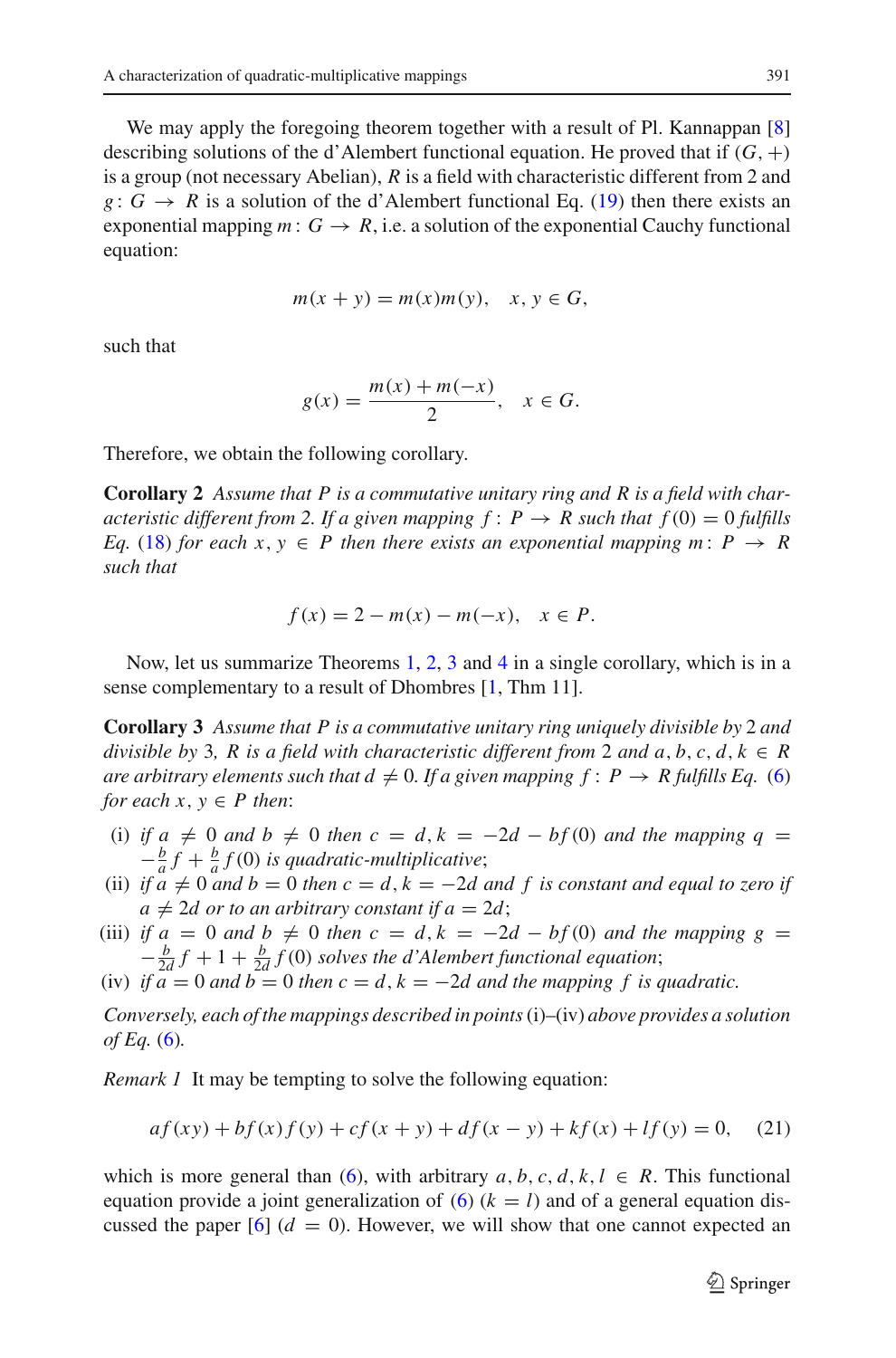We may apply the foregoing theorem together with a result of Pl. Kannappan [\[8\]](#page-10-8) describing solutions of the d'Alembert functional equation. He proved that if  $(G, +)$ is a group (not necessary Abelian), *R* is a field with characteristic different from 2 and *g* :  $G \rightarrow R$  is a solution of the d'Alembert functional Eq. [\(19\)](#page-8-1) then there exists an exponential mapping  $m: G \to R$ , i.e. a solution of the exponential Cauchy functional equation:

$$
m(x + y) = m(x)m(y), \quad x, y \in G,
$$

such that

$$
g(x) = \frac{m(x) + m(-x)}{2}, \quad x \in G.
$$

Therefore, we obtain the following corollary.

**Corollary 2** *Assume that P is a commutative unitary ring and R is a field with characteristic different from 2. If a given mapping*  $f: P \rightarrow R$  *such that*  $f(0) = 0$  *fulfills Eq.* [\(18\)](#page-8-0) *for each*  $x, y \in P$  *then there exists an exponential mapping*  $m: P \rightarrow R$ *such that*

$$
f(x) = 2 - m(x) - m(-x), \quad x \in P.
$$

Now, let us summarize Theorems [1,](#page-3-1) [2,](#page-5-3) [3](#page-7-3) and [4](#page-8-2) in a single corollary, which is in a sense complementary to a result of Dhombres [\[1](#page-10-2), Thm 11].

**Corollary 3** *Assume that P is a commutative unitary ring uniquely divisible by* 2 *and divisible by* 3, R *is a field with characteristic different from* 2 *and*  $a, b, c, d, k \in R$ *are arbitrary elements such that*  $d \neq 0$ *. If a given mapping*  $f: P \rightarrow R$  fulfills Eq. [\(6\)](#page-3-0) *for each*  $x, y \in P$  *then*:

- (i) *if*  $a \neq 0$  *and*  $b \neq 0$  *then*  $c = d$ ,  $k = -2d bf(0)$  *and the mapping*  $q =$  $-\frac{b}{a}f + \frac{b}{a}f(0)$  *is quadratic-multiplicative*;
- (ii) if  $a \neq 0$  and  $b = 0$  then  $c = d$ ,  $k = -2d$  and f is constant and equal to zero if  $a \neq 2d$  or to an arbitrary constant if  $a = 2d$ ;
- (iii) *if*  $a = 0$  *and*  $b \neq 0$  *then*  $c = d$ ,  $k = -2d bf(0)$  *and the mapping*  $g =$  $-\frac{b}{2d}f + 1 + \frac{b}{2d}f(0)$  *solves the d'Alembert functional equation*;
- (iv) *if*  $a = 0$  *and*  $b = 0$  *then*  $c = d$ ,  $k = -2d$  *and the mapping* f *is quadratic.*

*Conversely, each of the mappings described in points*(i)–(iv) *above provides a solution of Eq.* [\(6\)](#page-3-0)*.*

<span id="page-9-0"></span>*Remark 1* It may be tempting to solve the following equation:

$$
af(xy) + bf(x)f(y) + cf(x + y) + df(x - y) + kf(x) + If(y) = 0,
$$
 (21)

which is more general than [\(6\)](#page-3-0), with arbitrary  $a, b, c, d, k, l \in R$ . This functional equation provide a joint generalization of  $(6)$   $(k = l)$  and of a general equation discussed the paper  $[6]$   $(d = 0)$ . However, we will show that one cannot expected an